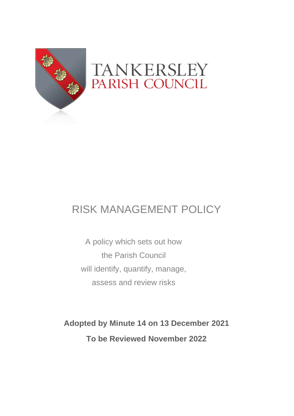

# RISK MANAGEMENT POLICY

A policy which sets out how the Parish Council will identify, quantify, manage, assess and review risks

**Adopted by Minute 14 on 13 December 2021 To be Reviewed November 2022**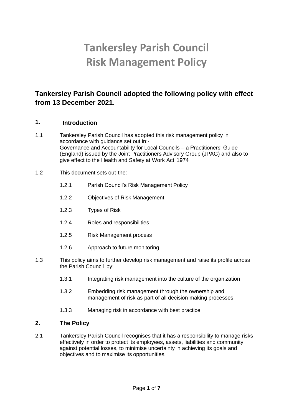# **Tankersley Parish Council Risk Management Policy**

# **Tankersley Parish Council adopted the following policy with effect from 13 December 2021.**

## **1. Introduction**

- 1.1 Tankersley Parish Council has adopted this risk management policy in accordance with guidance set out in:- Governance and Accountability for Local Councils – a Practitioners' Guide (England) issued by the Joint Practitioners Advisory Group (JPAG) and also to give effect to the Health and Safety at Work Act 1974
- 1.2 This document sets out the:
	- 1.2.1 Parish Council's Risk Management Policy
	- 1.2.2 Objectives of Risk Management
	- 1.2.3 Types of Risk
	- 1.2.4 Roles and responsibilities
	- 1.2.5 Risk Management process
	- 1.2.6 Approach to future monitoring
- 1.3 This policy aims to further develop risk management and raise its profile across the Parish Council by:
	- 1.3.1 Integrating risk management into the culture of the organization
	- 1.3.2 Embedding risk management through the ownership and management of risk as part of all decision making processes
	- 1.3.3 Managing risk in accordance with best practice

## **2. The Policy**

2.1 Tankersley Parish Council recognises that it has a responsibility to manage risks effectively in order to protect its employees, assets, liabilities and community against potential losses, to minimise uncertainty in achieving its goals and objectives and to maximise its opportunities.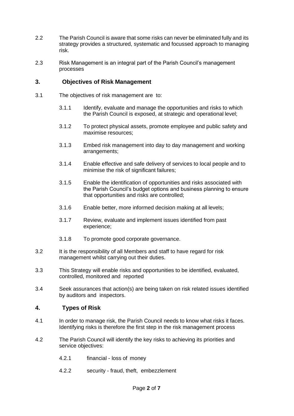- 2.2 The Parish Council is aware that some risks can never be eliminated fully and its strategy provides a structured, systematic and focussed approach to managing risk.
- 2.3 Risk Management is an integral part of the Parish Council's management processes

## **3. Objectives of Risk Management**

- 3.1 The objectives of risk management are to:
	- 3.1.1 Identify, evaluate and manage the opportunities and risks to which the Parish Council is exposed, at strategic and operational level;
	- 3.1.2 To protect physical assets, promote employee and public safety and maximise resources;
	- 3.1.3 Embed risk management into day to day management and working arrangements;
	- 3.1.4 Enable effective and safe delivery of services to local people and to minimise the risk of significant failures;
	- 3.1.5 Enable the identification of opportunities and risks associated with the Parish Council's budget options and business planning to ensure that opportunities and risks are controlled;
	- 3.1.6 Enable better, more informed decision making at all levels;
	- 3.1.7 Review, evaluate and implement issues identified from past experience;
	- 3.1.8 To promote good corporate governance.
- 3.2 It is the responsibility of all Members and staff to have regard for risk management whilst carrying out their duties.
- 3.3 This Strategy will enable risks and opportunities to be identified, evaluated, controlled, monitored and reported
- 3.4 Seek assurances that action(s) are being taken on risk related issues identified by auditors and inspectors.

## **4. Types of Risk**

- 4.1 In order to manage risk, the Parish Council needs to know what risks it faces. Identifying risks is therefore the first step in the risk management process
- 4.2 The Parish Council will identify the key risks to achieving its priorities and service objectives:
	- 4.2.1 financial loss of money
	- 4.2.2 security fraud, theft, embezzlement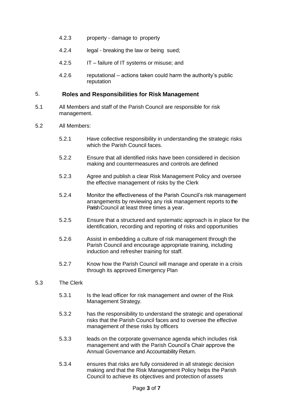- 4.2.3 property damage to property
- 4.2.4 legal breaking the law or being sued;
- 4.2.5 IT failure of IT systems or misuse; and
- 4.2.6 reputational actions taken could harm the authority's public reputation

### 5. **Roles and Responsibilities for Risk Management**

- 5.1 All Members and staff of the Parish Council are responsible for risk management.
- 5.2 All Members:
	- 5.2.1 Have collective responsibility in understanding the strategic risks which the Parish Council faces.
	- 5.2.2 Ensure that all identified risks have been considered in decision making and countermeasures and controls are defined
	- 5.2.3 Agree and publish a clear Risk Management Policy and oversee the effective management of risks by the Clerk
	- 5.2.4 Monitor the effectiveness of the Parish Council's risk management arrangements by reviewing any risk management reports to the Parish Council at least three times a year.
	- 5.2.5 Ensure that a structured and systematic approach is in place for the identification, recording and reporting of risks and opportunities
	- 5.2.6 Assist in embedding a culture of risk management through the Parish Council and encourage appropriate training, including induction and refresher training for staff.
	- 5.2.7 Know how the Parish Council will manage and operate in a crisis through its approved Emergency Plan

#### 5.3 The Clerk

- 5.3.1 Is the lead officer for risk management and owner of the Risk Management Strategy.
- 5.3.2 has the responsibility to understand the strategic and operational risks that the Parish Council faces and to oversee the effective management of these risks by officers
- 5.3.3 leads on the corporate governance agenda which includes risk management and with the Parish Council's Chair approve the Annual Governance and Accountability Return.
- 5.3.4 ensures that risks are fully considered in all strategic decision making and that the Risk Management Policy helps the Parish Council to achieve its objectives and protection of assets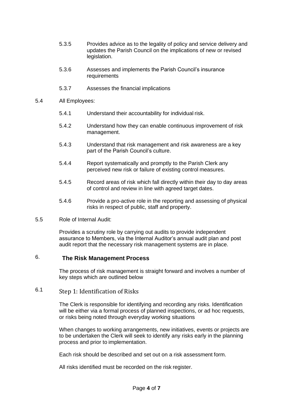- 5.3.5 Provides advice as to the legality of policy and service delivery and updates the Parish Council on the implications of new or revised legislation.
- 5.3.6 Assesses and implements the Parish Council's insurance requirements
- 5.3.7 Assesses the financial implications
- 5.4 All Employees:
	- 5.4.1 Understand their accountability for individual risk.
	- 5.4.2 Understand how they can enable continuous improvement of risk management.
	- 5.4.3 Understand that risk management and risk awareness are a key part of the Parish Council's culture.
	- 5.4.4 Report systematically and promptly to the Parish Clerk any perceived new risk or failure of existing control measures.
	- 5.4.5 Record areas of risk which fall directly within their day to day areas of control and review in line with agreed target dates.
	- 5.4.6 Provide a pro-active role in the reporting and assessing of physical risks in respect of public, staff and property.
- 5.5 Role of Internal Audit:

Provides a scrutiny role by carrying out audits to provide independent assurance to Members, via the Internal Auditor's annual audit plan and post audit report that the necessary risk management systems are in place.

## 6. **The Risk Management Process**

The process of risk management is straight forward and involves a number of key steps which are outlined below

# 6.1 Step 1: Identification of Risks

The Clerk is responsible for identifying and recording any risks. Identification will be either via a formal process of planned inspections, or ad hoc requests, or risks being noted through everyday working situations

When changes to working arrangements, new initiatives, events or projects are to be undertaken the Clerk will seek to identify any risks early in the planning process and prior to implementation.

Each risk should be described and set out on a risk assessment form.

All risks identified must be recorded on the risk register.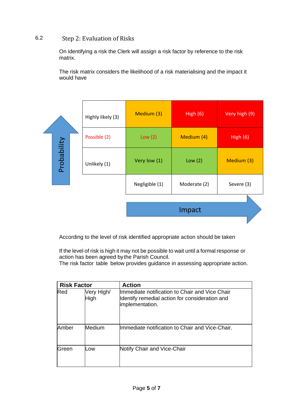## 6.2 Step 2: Evaluation of Risks

On identifying a risk the Clerk will assign a risk factor by reference to the risk matrix.

The risk matrix considers the likelihood of a risk materialising and the impact it would have

|             |  | Highly likely (3) | Medium (3)     | High $(6)$   | Very high (9) |
|-------------|--|-------------------|----------------|--------------|---------------|
| Probability |  | Possible (2)      | Low $(2)$      | Medium (4)   | High $(6)$    |
|             |  | Unlikely (1)      | Very low (1)   | Low $(2)$    | Medium (3)    |
|             |  |                   | Negligible (1) | Moderate (2) | Severe (3)    |
|             |  |                   |                |              |               |
|             |  |                   |                | Impact       |               |
|             |  |                   |                |              |               |

According to the level of risk identified appropriate action should be taken

If the level of risk is high it may not be possible to wait until a formal response or action has been agreed by the Parish Council.

The risk factor table below provides guidance in assessing appropriate action.

| <b>Risk Factor</b> |                    | <b>Action</b>                                                                                                        |  |
|--------------------|--------------------|----------------------------------------------------------------------------------------------------------------------|--|
| Red                | Very High/<br>High | Ilmmediate notification to Chair and Vice Chair<br>Identify remedial action for consideration and<br>implementation. |  |
| Amber              | Medium             | Ilmmediate notification to Chair and Vice-Chair.                                                                     |  |
| lGreen             | Low                | Notify Chair and Vice-Chair                                                                                          |  |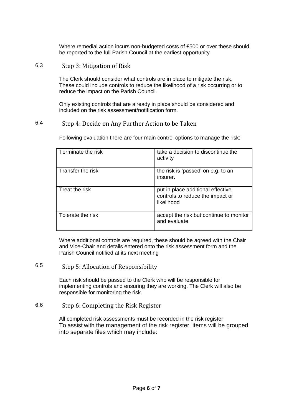Where remedial action incurs non-budgeted costs of £500 or over these should be reported to the full Parish Council at the earliest opportunity

6.3 Step 3: Mitigation of Risk

The Clerk should consider what controls are in place to mitigate the risk. These could include controls to reduce the likelihood of a risk occurring or to reduce the impact on the Parish Council.

Only existing controls that are already in place should be considered and included on the risk assessment/notification form.

### 6.4 Step 4: Decide on Any Further Action to be Taken

Terminate the risk take a decision to discontinue the activity Transfer the risk the risk is 'passed' on e.g. to an insurer. Treat the risk **put in place additional effective** controls to reduce the impact or likelihood Tolerate the risk accept the risk but continue to monitor and evaluate

Following evaluation there are four main control options to manage the risk:

Where additional controls are required, these should be agreed with the Chair and Vice-Chair and details entered onto the risk assessment form and the Parish Council notified at its next meeting

# 6.5 Step 5: Allocation of Responsibility

Each risk should be passed to the Clerk who will be responsible for implementing controls and ensuring they are working. The Clerk will also be responsible for monitoring the risk

6.6 Step 6: Completing the Risk Register

All completed risk assessments must be recorded in the risk register To assist with the management of the risk register, items will be grouped into separate files which may include: